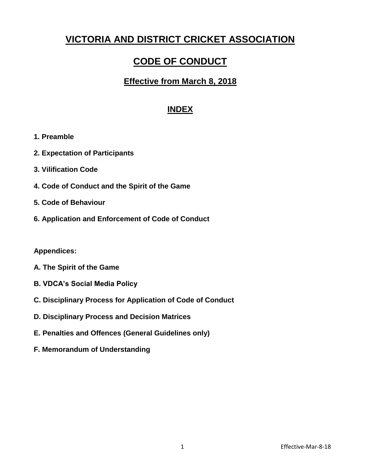# **VICTORIA AND DISTRICT CRICKET ASSOCIATION**

# **CODE OF CONDUCT**

## **Effective from March 8, 2018**

## **INDEX**

- **1. Preamble**
- **2. Expectation of Participants**
- **3. Vilification Code**
- **4. Code of Conduct and the Spirit of the Game**
- **5. Code of Behaviour**
- **6. Application and Enforcement of Code of Conduct**

## **Appendices:**

- **A. The Spirit of the Game**
- **B. VDCA's Social Media Policy**
- **C. Disciplinary Process for Application of Code of Conduct**
- **D. Disciplinary Process and Decision Matrices**
- **E. Penalties and Offences (General Guidelines only)**
- **F. Memorandum of Understanding**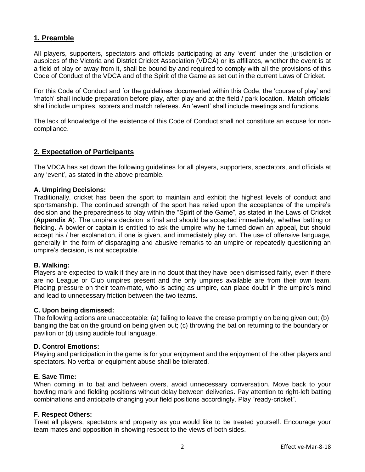## **1. Preamble**

All players, supporters, spectators and officials participating at any 'event' under the jurisdiction or auspices of the Victoria and District Cricket Association (VDCA) or its affiliates, whether the event is at a field of play or away from it, shall be bound by and required to comply with all the provisions of this Code of Conduct of the VDCA and of the Spirit of the Game as set out in the current Laws of Cricket.

For this Code of Conduct and for the guidelines documented within this Code, the 'course of play' and 'match' shall include preparation before play, after play and at the field / park location. 'Match officials' shall include umpires, scorers and match referees. An 'event' shall include meetings and functions.

The lack of knowledge of the existence of this Code of Conduct shall not constitute an excuse for noncompliance.

## **2. Expectation of Participants**

The VDCA has set down the following guidelines for all players, supporters, spectators, and officials at any 'event', as stated in the above preamble.

### **A. Umpiring Decisions:**

Traditionally, cricket has been the sport to maintain and exhibit the highest levels of conduct and sportsmanship. The continued strength of the sport has relied upon the acceptance of the umpire's decision and the preparedness to play within the "Spirit of the Game", as stated in the Laws of Cricket (**Appendix A**). The umpire's decision is final and should be accepted immediately, whether batting or fielding. A bowler or captain is entitled to ask the umpire why he turned down an appeal, but should accept his / her explanation, if one is given, and immediately play on. The use of offensive language, generally in the form of disparaging and abusive remarks to an umpire or repeatedly questioning an umpire's decision, is not acceptable.

#### **B. Walking:**

Players are expected to walk if they are in no doubt that they have been dismissed fairly, even if there are no League or Club umpires present and the only umpires available are from their own team. Placing pressure on their team-mate, who is acting as umpire, can place doubt in the umpire's mind and lead to unnecessary friction between the two teams.

#### **C. Upon being dismissed:**

The following actions are unacceptable: (a) failing to leave the crease promptly on being given out; (b) banging the bat on the ground on being given out; (c) throwing the bat on returning to the boundary or pavilion or (d) using audible foul language.

#### **D. Control Emotions:**

Playing and participation in the game is for your enjoyment and the enjoyment of the other players and spectators. No verbal or equipment abuse shall be tolerated.

#### **E. Save Time:**

When coming in to bat and between overs, avoid unnecessary conversation. Move back to your bowling mark and fielding positions without delay between deliveries. Pay attention to right-left batting combinations and anticipate changing your field positions accordingly. Play "ready-cricket".

#### **F. Respect Others:**

Treat all players, spectators and property as you would like to be treated yourself. Encourage your team mates and opposition in showing respect to the views of both sides.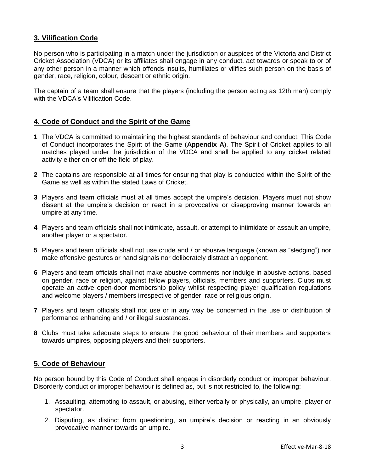## **3. Vilification Code**

No person who is participating in a match under the jurisdiction or auspices of the Victoria and District Cricket Association (VDCA) or its affiliates shall engage in any conduct, act towards or speak to or of any other person in a manner which offends insults, humiliates or vilifies such person on the basis of gender, race, religion, colour, descent or ethnic origin.

The captain of a team shall ensure that the players (including the person acting as 12th man) comply with the VDCA's Vilification Code.

## **4. Code of Conduct and the Spirit of the Game**

- **1** The VDCA is committed to maintaining the highest standards of behaviour and conduct. This Code of Conduct incorporates the Spirit of the Game (**Appendix A**). The Spirit of Cricket applies to all matches played under the jurisdiction of the VDCA and shall be applied to any cricket related activity either on or off the field of play.
- **2** The captains are responsible at all times for ensuring that play is conducted within the Spirit of the Game as well as within the stated Laws of Cricket.
- **3** Players and team officials must at all times accept the umpire's decision. Players must not show dissent at the umpire's decision or react in a provocative or disapproving manner towards an umpire at any time.
- **4** Players and team officials shall not intimidate, assault, or attempt to intimidate or assault an umpire, another player or a spectator.
- **5** Players and team officials shall not use crude and / or abusive language (known as "sledging") nor make offensive gestures or hand signals nor deliberately distract an opponent.
- **6** Players and team officials shall not make abusive comments nor indulge in abusive actions, based on gender, race or religion, against fellow players, officials, members and supporters. Clubs must operate an active open-door membership policy whilst respecting player qualification regulations and welcome players / members irrespective of gender, race or religious origin.
- **7** Players and team officials shall not use or in any way be concerned in the use or distribution of performance enhancing and / or illegal substances.
- **8** Clubs must take adequate steps to ensure the good behaviour of their members and supporters towards umpires, opposing players and their supporters.

## **5. Code of Behaviour**

No person bound by this Code of Conduct shall engage in disorderly conduct or improper behaviour. Disorderly conduct or improper behaviour is defined as, but is not restricted to, the following:

- 1. Assaulting, attempting to assault, or abusing, either verbally or physically, an umpire, player or spectator.
- 2. Disputing, as distinct from questioning, an umpire's decision or reacting in an obviously provocative manner towards an umpire.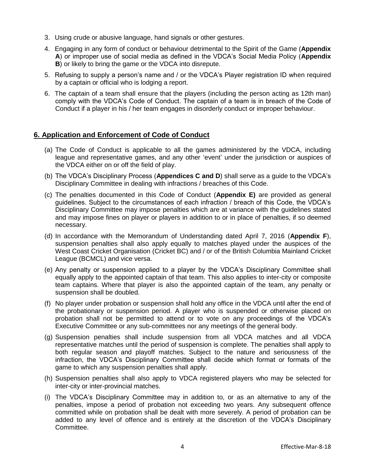- 3. Using crude or abusive language, hand signals or other gestures.
- 4. Engaging in any form of conduct or behaviour detrimental to the Spirit of the Game (**Appendix A**) or improper use of social media as defined in the VDCA's Social Media Policy (**Appendix B**) or likely to bring the game or the VDCA into disrepute.
- 5. Refusing to supply a person's name and / or the VDCA's Player registration ID when required by a captain or official who is lodging a report.
- 6. The captain of a team shall ensure that the players (including the person acting as 12th man) comply with the VDCA's Code of Conduct. The captain of a team is in breach of the Code of Conduct if a player in his / her team engages in disorderly conduct or improper behaviour.

## **6. Application and Enforcement of Code of Conduct**

- (a) The Code of Conduct is applicable to all the games administered by the VDCA, including league and representative games, and any other 'event' under the jurisdiction or auspices of the VDCA either on or off the field of play.
- (b) The VDCA's Disciplinary Process (**Appendices C and D**) shall serve as a guide to the VDCA's Disciplinary Committee in dealing with infractions / breaches of this Code.
- (c) The penalties documented in this Code of Conduct (**Appendix E)** are provided as general guidelines. Subject to the circumstances of each infraction / breach of this Code, the VDCA's Disciplinary Committee may impose penalties which are at variance with the guidelines stated and may impose fines on player or players in addition to or in place of penalties, if so deemed necessary.
- (d) In accordance with the Memorandum of Understanding dated April 7, 2016 (**Appendix F**), suspension penalties shall also apply equally to matches played under the auspices of the West Coast Cricket Organisation (Cricket BC) and / or of the British Columbia Mainland Cricket League (BCMCL) and vice versa.
- (e) Any penalty or suspension applied to a player by the VDCA's Disciplinary Committee shall equally apply to the appointed captain of that team. This also applies to inter-city or composite team captains. Where that player is also the appointed captain of the team, any penalty or suspension shall be doubled.
- (f) No player under probation or suspension shall hold any office in the VDCA until after the end of the probationary or suspension period. A player who is suspended or otherwise placed on probation shall not be permitted to attend or to vote on any proceedings of the VDCA's Executive Committee or any sub-committees nor any meetings of the general body.
- (g) Suspension penalties shall include suspension from all VDCA matches and all VDCA representative matches until the period of suspension is complete. The penalties shall apply to both regular season and playoff matches. Subject to the nature and seriousness of the infraction, the VDCA's Disciplinary Committee shall decide which format or formats of the game to which any suspension penalties shall apply.
- (h) Suspension penalties shall also apply to VDCA registered players who may be selected for inter-city or inter-provincial matches.
- (i) The VDCA's Disciplinary Committee may in addition to, or as an alternative to any of the penalties, impose a period of probation not exceeding two years. Any subsequent offence committed while on probation shall be dealt with more severely. A period of probation can be added to any level of offence and is entirely at the discretion of the VDCA's Disciplinary Committee.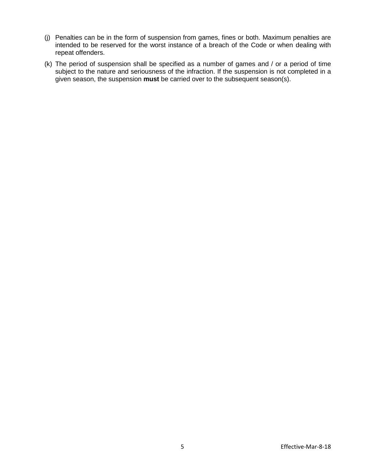- (j) Penalties can be in the form of suspension from games, fines or both. Maximum penalties are intended to be reserved for the worst instance of a breach of the Code or when dealing with repeat offenders.
- (k) The period of suspension shall be specified as a number of games and / or a period of time subject to the nature and seriousness of the infraction. If the suspension is not completed in a given season, the suspension **must** be carried over to the subsequent season(s).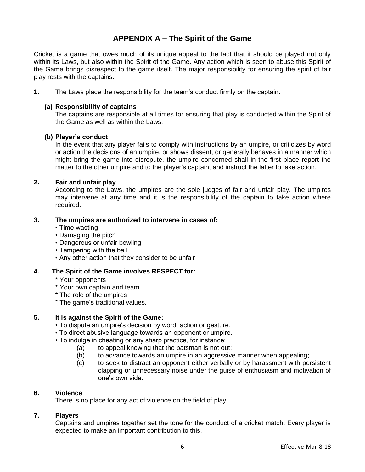## **APPENDIX A – The Spirit of the Game**

Cricket is a game that owes much of its unique appeal to the fact that it should be played not only within its Laws, but also within the Spirit of the Game. Any action which is seen to abuse this Spirit of the Game brings disrespect to the game itself. The major responsibility for ensuring the spirit of fair play rests with the captains.

**1.** The Laws place the responsibility for the team's conduct firmly on the captain.

### **(a) Responsibility of captains**

The captains are responsible at all times for ensuring that play is conducted within the Spirit of the Game as well as within the Laws.

#### **(b) Player's conduct**

In the event that any player fails to comply with instructions by an umpire, or criticizes by word or action the decisions of an umpire, or shows dissent, or generally behaves in a manner which might bring the game into disrepute, the umpire concerned shall in the first place report the matter to the other umpire and to the player's captain, and instruct the latter to take action.

### **2. Fair and unfair play**

According to the Laws, the umpires are the sole judges of fair and unfair play. The umpires may intervene at any time and it is the responsibility of the captain to take action where required.

## **3. The umpires are authorized to intervene in cases of:**

- Time wasting
- Damaging the pitch
- Dangerous or unfair bowling
- Tampering with the ball
- Any other action that they consider to be unfair

## **4. The Spirit of the Game involves RESPECT for:**

- \* Your opponents
- \* Your own captain and team
- \* The role of the umpires
- \* The game's traditional values.

## **5. It is against the Spirit of the Game:**

- To dispute an umpire's decision by word, action or gesture.
- To direct abusive language towards an opponent or umpire.
- To indulge in cheating or any sharp practice, for instance:
	- (a) to appeal knowing that the batsman is not out;
	- (b) to advance towards an umpire in an aggressive manner when appealing;
	- (c) to seek to distract an opponent either verbally or by harassment with persistent clapping or unnecessary noise under the guise of enthusiasm and motivation of one's own side.

#### **6. Violence**

There is no place for any act of violence on the field of play.

## **7. Players**

Captains and umpires together set the tone for the conduct of a cricket match. Every player is expected to make an important contribution to this.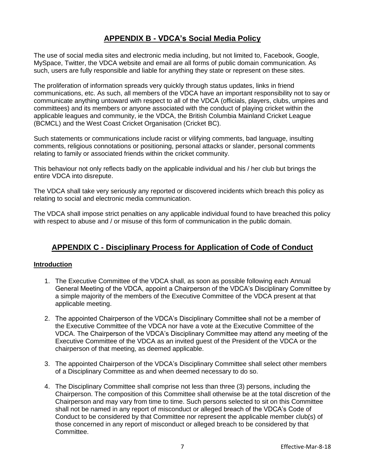## **APPENDIX B - VDCA's Social Media Policy**

The use of social media sites and electronic media including, but not limited to, Facebook, Google, MySpace, Twitter, the VDCA website and email are all forms of public domain communication. As such, users are fully responsible and liable for anything they state or represent on these sites.

The proliferation of information spreads very quickly through status updates, links in friend communications, etc. As such, all members of the VDCA have an important responsibility not to say or communicate anything untoward with respect to all of the VDCA (officials, players, clubs, umpires and committees) and its members or anyone associated with the conduct of playing cricket within the applicable leagues and community, ie the VDCA, the British Columbia Mainland Cricket League (BCMCL) and the West Coast Cricket Organisation (Cricket BC).

Such statements or communications include racist or vilifying comments, bad language, insulting comments, religious connotations or positioning, personal attacks or slander, personal comments relating to family or associated friends within the cricket community.

This behaviour not only reflects badly on the applicable individual and his / her club but brings the entire VDCA into disrepute.

The VDCA shall take very seriously any reported or discovered incidents which breach this policy as relating to social and electronic media communication.

The VDCA shall impose strict penalties on any applicable individual found to have breached this policy with respect to abuse and / or misuse of this form of communication in the public domain.

## **APPENDIX C - Disciplinary Process for Application of Code of Conduct**

## **Introduction**

- 1. The Executive Committee of the VDCA shall, as soon as possible following each Annual General Meeting of the VDCA, appoint a Chairperson of the VDCA's Disciplinary Committee by a simple majority of the members of the Executive Committee of the VDCA present at that applicable meeting.
- 2. The appointed Chairperson of the VDCA's Disciplinary Committee shall not be a member of the Executive Committee of the VDCA nor have a vote at the Executive Committee of the VDCA. The Chairperson of the VDCA's Disciplinary Committee may attend any meeting of the Executive Committee of the VDCA as an invited guest of the President of the VDCA or the chairperson of that meeting, as deemed applicable.
- 3. The appointed Chairperson of the VDCA's Disciplinary Committee shall select other members of a Disciplinary Committee as and when deemed necessary to do so.
- 4. The Disciplinary Committee shall comprise not less than three (3) persons, including the Chairperson. The composition of this Committee shall otherwise be at the total discretion of the Chairperson and may vary from time to time. Such persons selected to sit on this Committee shall not be named in any report of misconduct or alleged breach of the VDCA's Code of Conduct to be considered by that Committee nor represent the applicable member club(s) of those concerned in any report of misconduct or alleged breach to be considered by that Committee.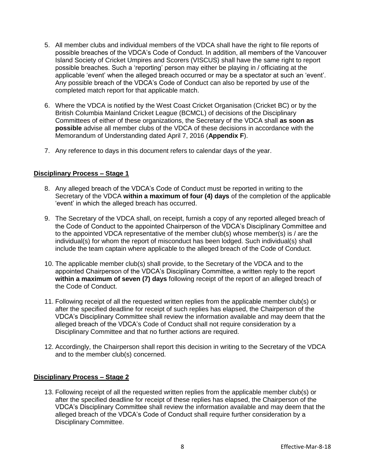- 5. All member clubs and individual members of the VDCA shall have the right to file reports of possible breaches of the VDCA's Code of Conduct. In addition, all members of the Vancouver Island Society of Cricket Umpires and Scorers (VISCUS) shall have the same right to report possible breaches. Such a 'reporting' person may either be playing in / officiating at the applicable 'event' when the alleged breach occurred or may be a spectator at such an 'event'. Any possible breach of the VDCA's Code of Conduct can also be reported by use of the completed match report for that applicable match.
- 6. Where the VDCA is notified by the West Coast Cricket Organisation (Cricket BC) or by the British Columbia Mainland Cricket League (BCMCL) of decisions of the Disciplinary Committees of either of these organizations, the Secretary of the VDCA shall **as soon as possible** advise all member clubs of the VDCA of these decisions in accordance with the Memorandum of Understanding dated April 7, 2016 (**Appendix F**).
- 7. Any reference to days in this document refers to calendar days of the year.

### **Disciplinary Process – Stage 1**

- 8. Any alleged breach of the VDCA's Code of Conduct must be reported in writing to the Secretary of the VDCA **within a maximum of four (4) days** of the completion of the applicable 'event' in which the alleged breach has occurred.
- 9. The Secretary of the VDCA shall, on receipt, furnish a copy of any reported alleged breach of the Code of Conduct to the appointed Chairperson of the VDCA's Disciplinary Committee and to the appointed VDCA representative of the member club(s) whose member(s) is / are the individual(s) for whom the report of misconduct has been lodged. Such individual(s) shall include the team captain where applicable to the alleged breach of the Code of Conduct.
- 10. The applicable member club(s) shall provide, to the Secretary of the VDCA and to the appointed Chairperson of the VDCA's Disciplinary Committee, a written reply to the report **within a maximum of seven (7) days** following receipt of the report of an alleged breach of the Code of Conduct.
- 11. Following receipt of all the requested written replies from the applicable member club(s) or after the specified deadline for receipt of such replies has elapsed, the Chairperson of the VDCA's Disciplinary Committee shall review the information available and may deem that the alleged breach of the VDCA's Code of Conduct shall not require consideration by a Disciplinary Committee and that no further actions are required.
- 12. Accordingly, the Chairperson shall report this decision in writing to the Secretary of the VDCA and to the member club(s) concerned.

#### **Disciplinary Process – Stage 2**

13. Following receipt of all the requested written replies from the applicable member club(s) or after the specified deadline for receipt of these replies has elapsed, the Chairperson of the VDCA's Disciplinary Committee shall review the information available and may deem that the alleged breach of the VDCA's Code of Conduct shall require further consideration by a Disciplinary Committee.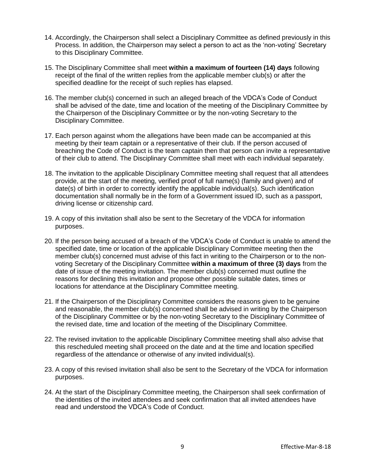- 14. Accordingly, the Chairperson shall select a Disciplinary Committee as defined previously in this Process. In addition, the Chairperson may select a person to act as the 'non-voting' Secretary to this Disciplinary Committee.
- 15. The Disciplinary Committee shall meet **within a maximum of fourteen (14) days** following receipt of the final of the written replies from the applicable member club(s) or after the specified deadline for the receipt of such replies has elapsed.
- 16. The member club(s) concerned in such an alleged breach of the VDCA's Code of Conduct shall be advised of the date, time and location of the meeting of the Disciplinary Committee by the Chairperson of the Disciplinary Committee or by the non-voting Secretary to the Disciplinary Committee.
- 17. Each person against whom the allegations have been made can be accompanied at this meeting by their team captain or a representative of their club. If the person accused of breaching the Code of Conduct is the team captain then that person can invite a representative of their club to attend. The Disciplinary Committee shall meet with each individual separately.
- 18. The invitation to the applicable Disciplinary Committee meeting shall request that all attendees provide, at the start of the meeting, verified proof of full name(s) (family and given) and of date(s) of birth in order to correctly identify the applicable individual(s). Such identification documentation shall normally be in the form of a Government issued ID, such as a passport, driving license or citizenship card.
- 19. A copy of this invitation shall also be sent to the Secretary of the VDCA for information purposes.
- 20. If the person being accused of a breach of the VDCA's Code of Conduct is unable to attend the specified date, time or location of the applicable Disciplinary Committee meeting then the member club(s) concerned must advise of this fact in writing to the Chairperson or to the nonvoting Secretary of the Disciplinary Committee **within a maximum of three (3) days** from the date of issue of the meeting invitation. The member club(s) concerned must outline the reasons for declining this invitation and propose other possible suitable dates, times or locations for attendance at the Disciplinary Committee meeting.
- 21. If the Chairperson of the Disciplinary Committee considers the reasons given to be genuine and reasonable, the member club(s) concerned shall be advised in writing by the Chairperson of the Disciplinary Committee or by the non-voting Secretary to the Disciplinary Committee of the revised date, time and location of the meeting of the Disciplinary Committee.
- 22. The revised invitation to the applicable Disciplinary Committee meeting shall also advise that this rescheduled meeting shall proceed on the date and at the time and location specified regardless of the attendance or otherwise of any invited individual(s).
- 23. A copy of this revised invitation shall also be sent to the Secretary of the VDCA for information purposes.
- 24. At the start of the Disciplinary Committee meeting, the Chairperson shall seek confirmation of the identities of the invited attendees and seek confirmation that all invited attendees have read and understood the VDCA's Code of Conduct.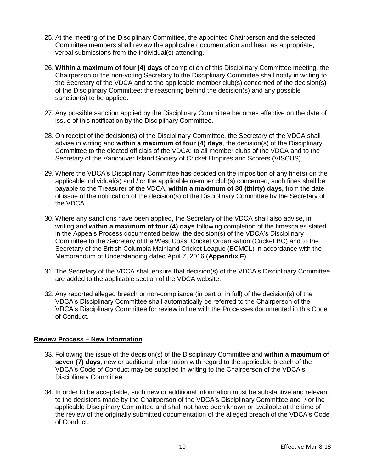- 25. At the meeting of the Disciplinary Committee, the appointed Chairperson and the selected Committee members shall review the applicable documentation and hear, as appropriate, verbal submissions from the individual(s) attending.
- 26. **Within a maximum of four (4) days** of completion of this Disciplinary Committee meeting, the Chairperson or the non-voting Secretary to the Disciplinary Committee shall notify in writing to the Secretary of the VDCA and to the applicable member club(s) concerned of the decision(s) of the Disciplinary Committee; the reasoning behind the decision(s) and any possible sanction(s) to be applied.
- 27. Any possible sanction applied by the Disciplinary Committee becomes effective on the date of issue of this notification by the Disciplinary Committee.
- 28. On receipt of the decision(s) of the Disciplinary Committee, the Secretary of the VDCA shall advise in writing and **within a maximum of four (4) days**, the decision(s) of the Disciplinary Committee to the elected officials of the VDCA; to all member clubs of the VDCA and to the Secretary of the Vancouver Island Society of Cricket Umpires and Scorers (VISCUS).
- 29. Where the VDCA's Disciplinary Committee has decided on the imposition of any fine(s) on the applicable individual(s) and / or the applicable member club(s) concerned, such fines shall be payable to the Treasurer of the VDCA, **within a maximum of 30 (thirty) days,** from the date of issue of the notification of the decision(s) of the Disciplinary Committee by the Secretary of the VDCA.
- 30. Where any sanctions have been applied, the Secretary of the VDCA shall also advise, in writing and **within a maximum of four (4) days** following completion of the timescales stated in the Appeals Process documented below, the decision(s) of the VDCA's Disciplinary Committee to the Secretary of the West Coast Cricket Organisation (Cricket BC) and to the Secretary of the British Columbia Mainland Cricket League (BCMCL) in accordance with the Memorandum of Understanding dated April 7, 2016 (**Appendix F**).
- 31. The Secretary of the VDCA shall ensure that decision(s) of the VDCA's Disciplinary Committee are added to the applicable section of the VDCA website.
- 32. Any reported alleged breach or non-compliance (in part or in full) of the decision(s) of the VDCA's Disciplinary Committee shall automatically be referred to the Chairperson of the VDCA's Disciplinary Committee for review in line with the Processes documented in this Code of Conduct.

## **Review Process – New Information**

- 33. Following the issue of the decision(s) of the Disciplinary Committee and **within a maximum of seven (7) days**, new or additional information with regard to the applicable breach of the VDCA's Code of Conduct may be supplied in writing to the Chairperson of the VDCA's Disciplinary Committee.
- 34. In order to be acceptable, such new or additional information must be substantive and relevant to the decisions made by the Chairperson of the VDCA's Disciplinary Committee and / or the applicable Disciplinary Committee and shall not have been known or available at the time of the review of the originally submitted documentation of the alleged breach of the VDCA's Code of Conduct.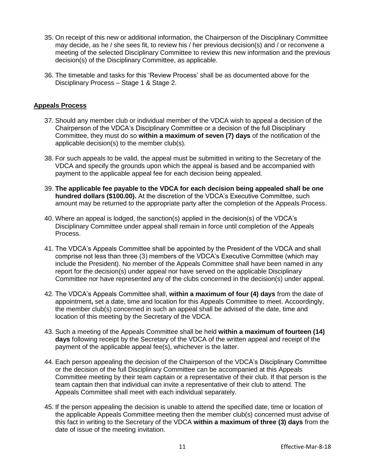- 35. On receipt of this new or additional information, the Chairperson of the Disciplinary Committee may decide, as he / she sees fit, to review his / her previous decision(s) and / or reconvene a meeting of the selected Disciplinary Committee to review this new information and the previous decision(s) of the Disciplinary Committee, as applicable.
- 36. The timetable and tasks for this 'Review Process' shall be as documented above for the Disciplinary Process – Stage 1 & Stage 2.

### **Appeals Process**

- 37. Should any member club or individual member of the VDCA wish to appeal a decision of the Chairperson of the VDCA's Disciplinary Committee or a decision of the full Disciplinary Committee, they must do so **within a maximum of seven (7) days** of the notification of the applicable decision(s) to the member club(s).
- 38. For such appeals to be valid, the appeal must be submitted in writing to the Secretary of the VDCA and specify the grounds upon which the appeal is based and be accompanied with payment to the applicable appeal fee for each decision being appealed.
- 39. **The applicable fee payable to the VDCA for each decision being appealed shall be one hundred dollars (\$100.00).** At the discretion of the VDCA's Executive Committee, such amount may be returned to the appropriate party after the completion of the Appeals Process.
- 40. Where an appeal is lodged, the sanction(s) applied in the decision(s) of the VDCA's Disciplinary Committee under appeal shall remain in force until completion of the Appeals Process.
- 41. The VDCA's Appeals Committee shall be appointed by the President of the VDCA and shall comprise not less than three (3) members of the VDCA's Executive Committee (which may include the President). No member of the Appeals Committee shall have been named in any report for the decision(s) under appeal nor have served on the applicable Disciplinary Committee nor have represented any of the clubs concerned in the decision(s) under appeal.
- 42. The VDCA's Appeals Committee shall, **within a maximum of four (4) days** from the date of appointment**,** set a date, time and location for this Appeals Committee to meet. Accoordingly, the member club(s) concerned in such an appeal shall be advised of the date, time and location of this meeting by the Secretary of the VDCA.
- 43. Such a meeting of the Appeals Committee shall be held **within a maximum of fourteen (14) days** following receipt by the Secretary of the VDCA of the written appeal and receipt of the payment of the applicable appeal fee(s), whichever is the latter.
- 44. Each person appealing the decision of the Chairperson of the VDCA's Disciplinary Committee or the decision of the full Disciplinary Committee can be accompanied at this Appeals Committee meeting by their team captain or a representative of their club. If that person is the team captain then that individual can invite a representative of their club to attend. The Appeals Committee shall meet with each individual separately.
- 45. If the person appealing the decision is unable to attend the specified date, time or location of the applicable Appeals Committee meeting then the member club(s) concerned must advise of this fact in writing to the Secretary of the VDCA **within a maximum of three (3) days** from the date of issue of the meeting invitation.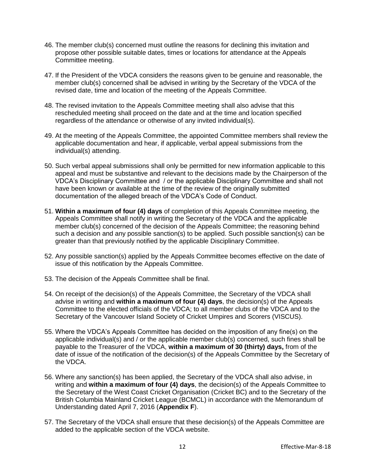- 46. The member club(s) concerned must outline the reasons for declining this invitation and propose other possible suitable dates, times or locations for attendance at the Appeals Committee meeting.
- 47. If the President of the VDCA considers the reasons given to be genuine and reasonable, the member club(s) concerned shall be advised in writing by the Secretary of the VDCA of the revised date, time and location of the meeting of the Appeals Committee.
- 48. The revised invitation to the Appeals Committee meeting shall also advise that this rescheduled meeting shall proceed on the date and at the time and location specified regardless of the attendance or otherwise of any invited individual(s).
- 49. At the meeting of the Appeals Committee, the appointed Committee members shall review the applicable documentation and hear, if applicable, verbal appeal submissions from the individual(s) attending.
- 50. Such verbal appeal submissions shall only be permitted for new information applicable to this appeal and must be substantive and relevant to the decisions made by the Chairperson of the VDCA's Disciplinary Committee and / or the applicable Disciplinary Committee and shall not have been known or available at the time of the review of the originally submitted documentation of the alleged breach of the VDCA's Code of Conduct.
- 51. **Within a maximum of four (4) days** of completion of this Appeals Committee meeting, the Appeals Committee shall notify in writing the Secretary of the VDCA and the applicable member club(s) concerned of the decision of the Appeals Committee; the reasoning behind such a decision and any possible sanction(s) to be applied. Such possible sanction(s) can be greater than that previously notified by the applicable Disciplinary Committee.
- 52. Any possible sanction(s) applied by the Appeals Committee becomes effective on the date of issue of this notification by the Appeals Committee.
- 53. The decision of the Appeals Committee shall be final.
- 54. On receipt of the decision(s) of the Appeals Committee, the Secretary of the VDCA shall advise in writing and **within a maximum of four (4) days**, the decision(s) of the Appeals Committee to the elected officials of the VDCA; to all member clubs of the VDCA and to the Secretary of the Vancouver Island Society of Cricket Umpires and Scorers (VISCUS).
- 55. Where the VDCA's Appeals Committee has decided on the imposition of any fine(s) on the applicable individual(s) and / or the applicable member club(s) concerned, such fines shall be payable to the Treasurer of the VDCA, **within a maximum of 30 (thirty) days,** from of the date of issue of the notification of the decision(s) of the Appeals Committee by the Secretary of the VDCA.
- 56. Where any sanction(s) has been applied, the Secretary of the VDCA shall also advise, in writing and **within a maximum of four (4) days**, the decision(s) of the Appeals Committee to the Secretary of the West Coast Cricket Organisation (Cricket BC) and to the Secretary of the British Columbia Mainland Cricket League (BCMCL) in accordance with the Memorandum of Understanding dated April 7, 2016 (**Appendix F**).
- 57. The Secretary of the VDCA shall ensure that these decision(s) of the Appeals Committee are added to the applicable section of the VDCA website.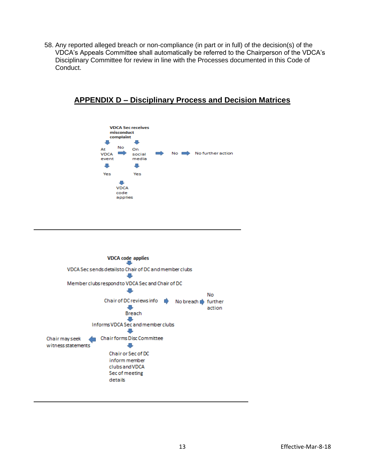58. Any reported alleged breach or non-compliance (in part or in full) of the decision(s) of the VDCA's Appeals Committee shall automatically be referred to the Chairperson of the VDCA's Disciplinary Committee for review in line with the Processes documented in this Code of Conduct.





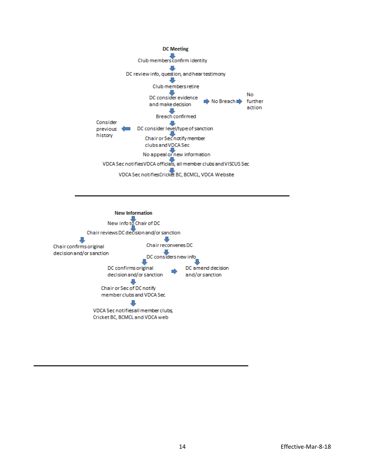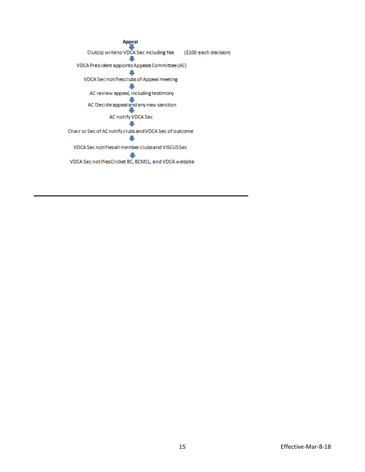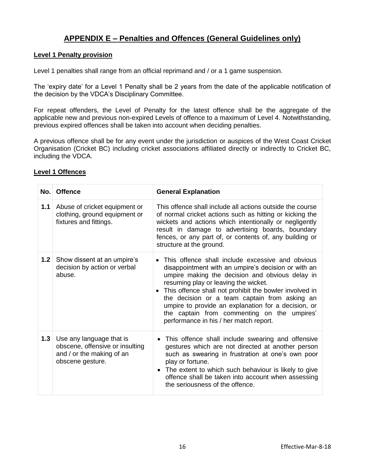## **APPENDIX E – Penalties and Offences (General Guidelines only)**

### **Level 1 Penalty provision**

Level 1 penalties shall range from an official reprimand and / or a 1 game suspension.

The 'expiry date' for a Level 1 Penalty shall be 2 years from the date of the applicable notification of the decision by the VDCA's Disciplinary Committee.

For repeat offenders, the Level of Penalty for the latest offence shall be the aggregate of the applicable new and previous non-expired Levels of offence to a maximum of Level 4. Notwithstanding, previous expired offences shall be taken into account when deciding penalties.

A previous offence shall be for any event under the jurisdiction or auspices of the West Coast Cricket Organisation (Cricket BC) including cricket associations affiliated directly or indirectly to Cricket BC, including the VDCA.

| No.              | <b>Offence</b>                                                                                               | <b>General Explanation</b>                                                                                                                                                                                                                                                                                                                                                                                                                                        |
|------------------|--------------------------------------------------------------------------------------------------------------|-------------------------------------------------------------------------------------------------------------------------------------------------------------------------------------------------------------------------------------------------------------------------------------------------------------------------------------------------------------------------------------------------------------------------------------------------------------------|
| 1.1              | Abuse of cricket equipment or<br>clothing, ground equipment or<br>fixtures and fittings.                     | This offence shall include all actions outside the course<br>of normal cricket actions such as hitting or kicking the<br>wickets and actions which intentionally or negligently<br>result in damage to advertising boards, boundary<br>fences, or any part of, or contents of, any building or<br>structure at the ground.                                                                                                                                        |
| 1.2 <sub>1</sub> | Show dissent at an umpire's<br>decision by action or verbal<br>abuse.                                        | • This offence shall include excessive and obvious<br>disappointment with an umpire's decision or with an<br>umpire making the decision and obvious delay in<br>resuming play or leaving the wicket.<br>• This offence shall not prohibit the bowler involved in<br>the decision or a team captain from asking an<br>umpire to provide an explanation for a decision, or<br>the captain from commenting on the umpires'<br>performance in his / her match report. |
| 1.3              | Use any language that is<br>obscene, offensive or insulting<br>and / or the making of an<br>obscene gesture. | This offence shall include swearing and offensive<br>gestures which are not directed at another person<br>such as swearing in frustration at one's own poor<br>play or fortune.<br>• The extent to which such behaviour is likely to give<br>offence shall be taken into account when assessing<br>the seriousness of the offence.                                                                                                                                |

## **Level 1 Offences**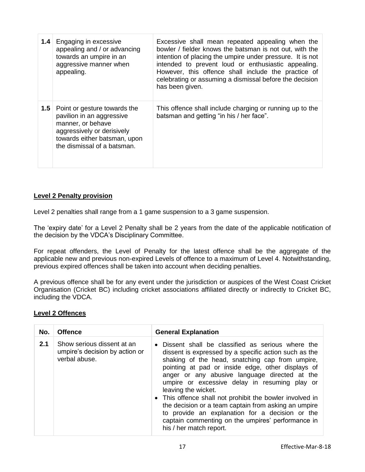| 1.4 <sup>°</sup> | Engaging in excessive<br>appealing and / or advancing<br>towards an umpire in an<br>aggressive manner when<br>appealing.                                                    | Excessive shall mean repeated appealing when the<br>bowler / fielder knows the batsman is not out, with the<br>intention of placing the umpire under pressure. It is not<br>intended to prevent loud or enthusiastic appealing.<br>However, this offence shall include the practice of<br>celebrating or assuming a dismissal before the decision<br>has been given. |
|------------------|-----------------------------------------------------------------------------------------------------------------------------------------------------------------------------|----------------------------------------------------------------------------------------------------------------------------------------------------------------------------------------------------------------------------------------------------------------------------------------------------------------------------------------------------------------------|
| 1.5              | Point or gesture towards the<br>pavilion in an aggressive<br>manner, or behave<br>aggressively or derisively<br>towards either batsman, upon<br>the dismissal of a batsman. | This offence shall include charging or running up to the<br>batsman and getting "in his / her face".                                                                                                                                                                                                                                                                 |

## **Level 2 Penalty provision**

Level 2 penalties shall range from a 1 game suspension to a 3 game suspension.

The 'expiry date' for a Level 2 Penalty shall be 2 years from the date of the applicable notification of the decision by the VDCA's Disciplinary Committee.

For repeat offenders, the Level of Penalty for the latest offence shall be the aggregate of the applicable new and previous non-expired Levels of offence to a maximum of Level 4. Notwithstanding, previous expired offences shall be taken into account when deciding penalties.

A previous offence shall be for any event under the jurisdiction or auspices of the West Coast Cricket Organisation (Cricket BC) including cricket associations affiliated directly or indirectly to Cricket BC, including the VDCA.

## **Level 2 Offences**

| No. | <b>Offence</b>                                                                | <b>General Explanation</b>                                                                                                                                                                                                                                                                                                                                                                                                                                                                                                                                                                                     |
|-----|-------------------------------------------------------------------------------|----------------------------------------------------------------------------------------------------------------------------------------------------------------------------------------------------------------------------------------------------------------------------------------------------------------------------------------------------------------------------------------------------------------------------------------------------------------------------------------------------------------------------------------------------------------------------------------------------------------|
| 2.1 | Show serious dissent at an<br>umpire's decision by action or<br>verbal abuse. | Dissent shall be classified as serious where the<br>$\bullet$<br>dissent is expressed by a specific action such as the<br>shaking of the head, snatching cap from umpire,<br>pointing at pad or inside edge, other displays of<br>anger or any abusive language directed at the<br>umpire or excessive delay in resuming play or<br>leaving the wicket.<br>• This offence shall not prohibit the bowler involved in<br>the decision or a team captain from asking an umpire<br>to provide an explanation for a decision or the<br>captain commenting on the umpires' performance in<br>his / her match report. |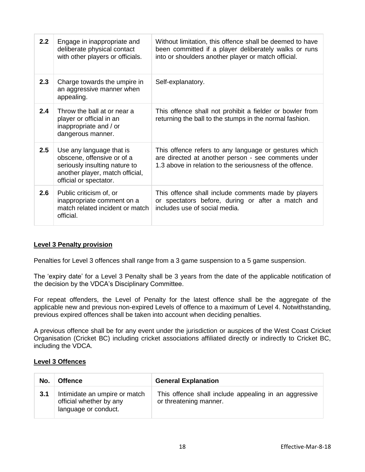| 2.2 | Engage in inappropriate and<br>deliberate physical contact<br>with other players or officials.                                                       | Without limitation, this offence shall be deemed to have<br>been committed if a player deliberately walks or runs<br>into or shoulders another player or match official. |
|-----|------------------------------------------------------------------------------------------------------------------------------------------------------|--------------------------------------------------------------------------------------------------------------------------------------------------------------------------|
| 2.3 | Charge towards the umpire in<br>an aggressive manner when<br>appealing.                                                                              | Self-explanatory.                                                                                                                                                        |
| 2.4 | Throw the ball at or near a<br>player or official in an<br>inappropriate and / or<br>dangerous manner.                                               | This offence shall not prohibit a fielder or bowler from<br>returning the ball to the stumps in the normal fashion.                                                      |
| 2.5 | Use any language that is<br>obscene, offensive or of a<br>seriously insulting nature to<br>another player, match official,<br>official or spectator. | This offence refers to any language or gestures which<br>are directed at another person - see comments under<br>1.3 above in relation to the seriousness of the offence. |
| 2.6 | Public criticism of, or<br>inappropriate comment on a<br>match related incident or match<br>official.                                                | This offence shall include comments made by players<br>or spectators before, during or after a match and<br>includes use of social media.                                |

## **Level 3 Penalty provision**

Penalties for Level 3 offences shall range from a 3 game suspension to a 5 game suspension.

The 'expiry date' for a Level 3 Penalty shall be 3 years from the date of the applicable notification of the decision by the VDCA's Disciplinary Committee.

For repeat offenders, the Level of Penalty for the latest offence shall be the aggregate of the applicable new and previous non-expired Levels of offence to a maximum of Level 4. Notwithstanding, previous expired offences shall be taken into account when deciding penalties.

A previous offence shall be for any event under the jurisdiction or auspices of the West Coast Cricket Organisation (Cricket BC) including cricket associations affiliated directly or indirectly to Cricket BC, including the VDCA.

## **Level 3 Offences**

| No. | <b>Offence</b>                                                                   | <b>General Explanation</b>                                                      |
|-----|----------------------------------------------------------------------------------|---------------------------------------------------------------------------------|
| 3.1 | Intimidate an umpire or match<br>official whether by any<br>language or conduct. | This offence shall include appealing in an aggressive<br>or threatening manner. |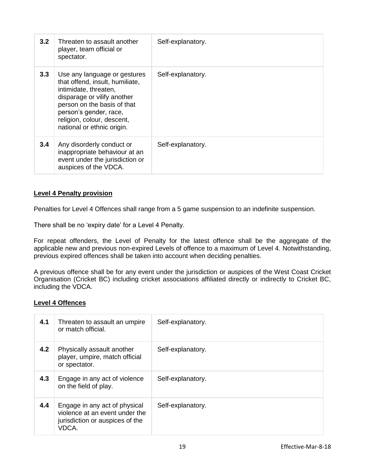| 3.2 | Threaten to assault another<br>player, team official or<br>spectator.                                                                                                                                                                        | Self-explanatory. |
|-----|----------------------------------------------------------------------------------------------------------------------------------------------------------------------------------------------------------------------------------------------|-------------------|
| 3.3 | Use any language or gestures<br>that offend, insult, humiliate,<br>intimidate, threaten,<br>disparage or vilify another<br>person on the basis of that<br>person's gender, race,<br>religion, colour, descent,<br>national or ethnic origin. | Self-explanatory. |
| 3.4 | Any disorderly conduct or<br>inappropriate behaviour at an<br>event under the jurisdiction or<br>auspices of the VDCA.                                                                                                                       | Self-explanatory. |

## **Level 4 Penalty provision**

Penalties for Level 4 Offences shall range from a 5 game suspension to an indefinite suspension.

There shall be no 'expiry date' for a Level 4 Penalty.

For repeat offenders, the Level of Penalty for the latest offence shall be the aggregate of the applicable new and previous non-expired Levels of offence to a maximum of Level 4. Notwithstanding, previous expired offences shall be taken into account when deciding penalties.

A previous offence shall be for any event under the jurisdiction or auspices of the West Coast Cricket Organisation (Cricket BC) including cricket associations affiliated directly or indirectly to Cricket BC, including the VDCA.

## **Level 4 Offences**

| 4.1 | Threaten to assault an umpire<br>or match official.                                                         | Self-explanatory. |
|-----|-------------------------------------------------------------------------------------------------------------|-------------------|
| 4.2 | Physically assault another<br>player, umpire, match official<br>or spectator.                               | Self-explanatory. |
| 4.3 | Engage in any act of violence<br>on the field of play.                                                      | Self-explanatory. |
| 4.4 | Engage in any act of physical<br>violence at an event under the<br>jurisdiction or auspices of the<br>VDCA. | Self-explanatory. |